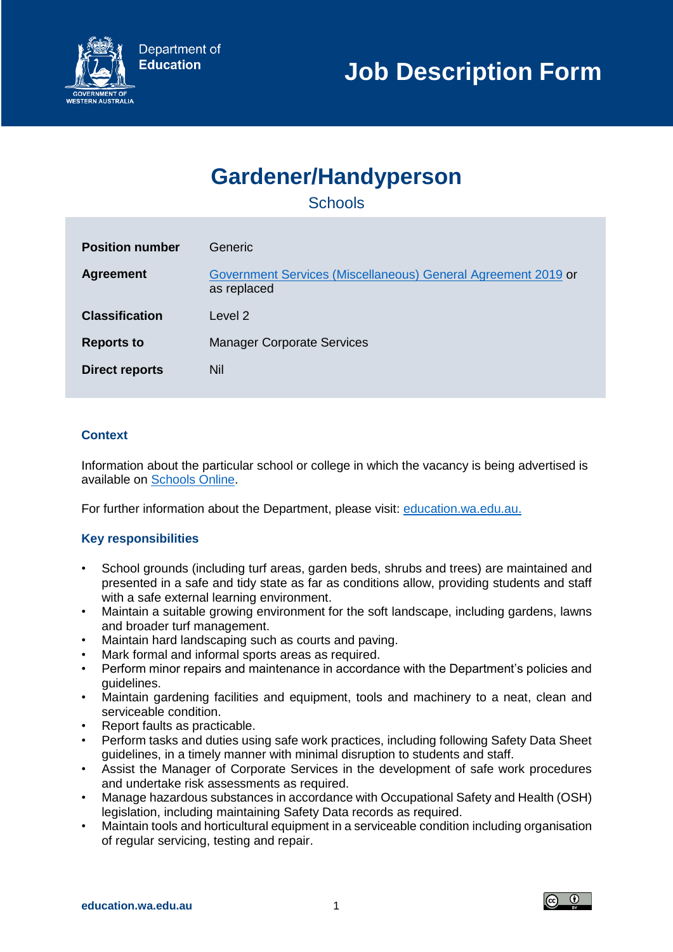

# **Gardener/Handyperson**

**Schools** 

| <b>Position number</b> | Generic                                                                      |
|------------------------|------------------------------------------------------------------------------|
| <b>Agreement</b>       | Government Services (Miscellaneous) General Agreement 2019 or<br>as replaced |
| <b>Classification</b>  | Level 2                                                                      |
| <b>Reports to</b>      | <b>Manager Corporate Services</b>                                            |
| <b>Direct reports</b>  | Nil                                                                          |

## **Context**

Information about the particular school or college in which the vacancy is being advertised is available on [Schools Online.](https://www.det.wa.edu.au/schoolsonline/home.do)

For further information about the Department, please visit: [education.wa.edu.au.](https://www.education.wa.edu.au/)

## **Key responsibilities**

- School grounds (including turf areas, garden beds, shrubs and trees) are maintained and presented in a safe and tidy state as far as conditions allow, providing students and staff with a safe external learning environment.
- Maintain a suitable growing environment for the soft landscape, including gardens, lawns and broader turf management.
- Maintain hard landscaping such as courts and paving.
- Mark formal and informal sports areas as required.
- Perform minor repairs and maintenance in accordance with the Department's policies and guidelines.
- Maintain gardening facilities and equipment, tools and machinery to a neat, clean and serviceable condition.
- Report faults as practicable.
- Perform tasks and duties using safe work practices, including following Safety Data Sheet guidelines, in a timely manner with minimal disruption to students and staff.
- Assist the Manager of Corporate Services in the development of safe work procedures and undertake risk assessments as required.
- Manage hazardous substances in accordance with Occupational Safety and Health (OSH) legislation, including maintaining Safety Data records as required.
- Maintain tools and horticultural equipment in a serviceable condition including organisation of regular servicing, testing and repair.